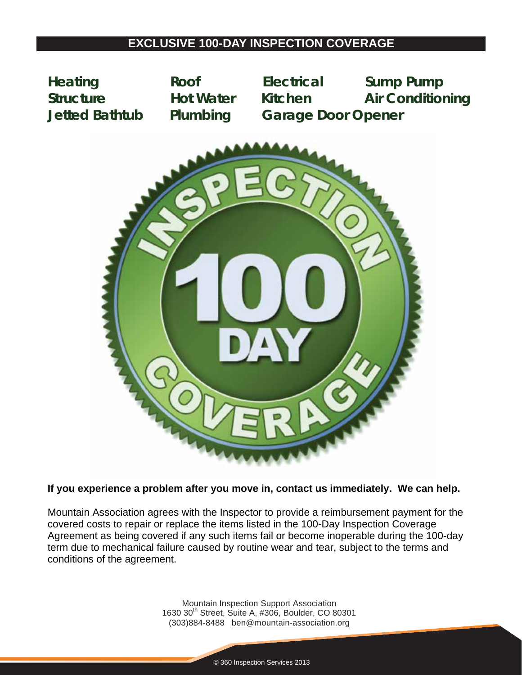**Heating Roof Electrical Sump Pump Structure Hot Water Kitchen Air Conditioning Jetted Bathtub Plumbing Garage Door Opener** 



### **If you experience a problem after you move in, contact us immediately. We can help.**

Mountain Association agrees with the Inspector to provide a reimbursement payment for the covered costs to repair or replace the items listed in the 100-Day Inspection Coverage Agreement as being covered if any such items fail or become inoperable during the 100-day term due to mechanical failure caused by routine wear and tear, subject to the terms and conditions of the agreement.

> Mountain Inspection Support Association 1630 30<sup>th</sup> Street, Suite A, #306, Boulder, CO 80301 (303)884-8488 ben@mountain-association.org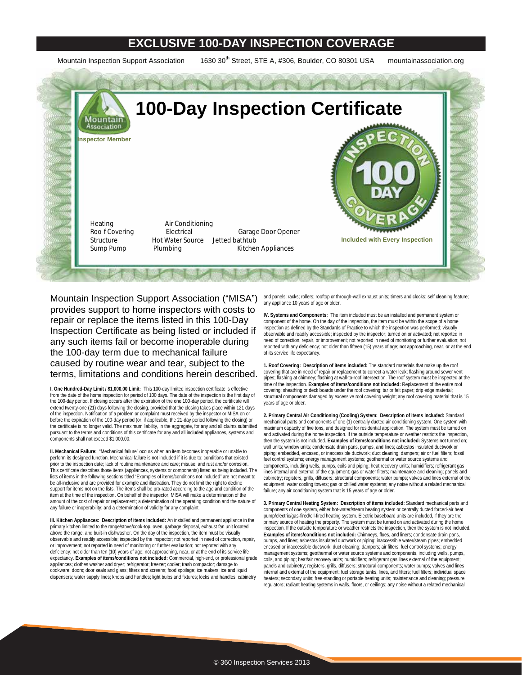Mountain Inspection Support Association 1630 30<sup>th</sup> Street, STE A, #306, Boulder, CO 80301 USA mountainassociation.org



Mountain Inspection Support Association ("MISA") provides support to home inspectors with costs to repair or replace the items listed in this 100-Day Inspection Certificate as being listed or included if any such items fail or become inoperable during the 100-day term due to mechanical failure caused by routine wear and tear, subject to the terms, limitations and conditions herein described.

**I. One Hundred-Day Limit / \$1,000.00 Limit:** This 100-day limited inspection certificate is effective from the date of the home inspection for period of 100 days. The date of the inspection is the first day of the 100-day period. If closing occurs after the expiration of the one 100-day period, the certificate will extend twenty-one (21) days following the closing, provided that the closing takes place within 121 days of the inspection. Notification of a problem or complaint must received by the inspector or MISA on or before the expiration of the 100-day period (or, if applicable, the 21-day period following the closing) or the certificate is no longer valid. The maximum liability, in the aggregate, for any and all claims submitted pursuant to the terms and conditions of this certificate for any and all included appliances, systems and components shall not exceed \$1,000.00.

**II. Mechanical Failure:** "Mechanical failure" occurs when an item becomes inoperable or unable to perform its designed function. Mechanical failure is not included if it is due to: conditions that existed .<br>prior to the inspection date; lack of routine maintenance and care; misuse; and rust and/or corrosion. This certificate describes those items (appliances, systems or components) listed as being included. The lists of items in the following sections titled "Examples of items/conditions not included" are not meant to be all-inclusive and are provided for example and illustration. They do not limit the right to decline support for items not on the lists. The items shall be pro-rated according to the age and condition of the item at the time of the inspection. On behalf of the inspector, MISA will make a determination of the amount of the cost of repair or replacement; a determination of the operating condition and the nature of any failure or inoperability; and a determination of validity for any complaint.

**III. Kitchen Appliances: Description of items included:** An installed and permanent appliance in the primary kitchen limited to the range/stove/cook-top, oven, garbage disposal, exhaust fan unit located above the range, and built-in dishwasher. On the day of the inspection, the item must be visually observable and readily accessible; inspected by the inspector; not reported in need of correction, repair, or improvement; not reported in need of monitoring or further evaluation; not reported with any deficiency; not older than ten (10) years of age; not approaching, near, or at the end of its service life expectancy. **Examples of items/conditions not included:** Commercial, high-end, or professional grade appliances; clothes washer and dryer; refrigerator; freezer; cooler; trash compactor; damage to cookware; doors; door seals and glass; filters and screens; food spoilage; ice makers; ice and liquid dispensers; water supply lines; knobs and handles; light bulbs and fixtures; locks and handles; cabinetry

and panels; racks; rollers; rooftop or through-wall exhaust units; timers and clocks; self cleaning feature; any appliance 10 years of age or older.

**IV. Systems and Components:** The item included must be an installed and permanent system or component of the home. On the day of the inspection, the item must be within the scope of a home inspection as defined by the Standards of Practice to which the inspection was performed; visually observable and readily accessible; inspected by the inspector; turned on or activated; not reported in need of correction, repair, or improvement; not reported in need of monitoring or further evaluation; not reported with any deficiency; not older than fifteen (15) years of age; not approaching, near, or at the end of its service life expectancy.

**1. Roof Covering: Description of items included:** The standard materials that make up the roof covering that are in need of repair or replacement to correct a water leak; flashing around sewer vent pipes; flashing at chimney; flashing at wall-to-roof intersection. The roof system must be inspected at the time of the inspection. **Examples of items/conditions not included:** Replacement of the entire roof covering; sheathing or deck boards under the roof covering; tar or felt paper; drip edge material; structural components damaged by excessive roof covering weight; any roof covering material that is 15 years of age or older.

**2. Primary Central Air Conditioning (Cooling) System: Description of items included:** Standard mechanical parts and components of one (1) centrally ducted air conditioning system. One system with maximum capacity of five tons, and designed for residential application. The system must be turned on and activated during the home inspection. If the outside temperature or weather restricts the inspection, then the system is not included. **Examples of items/conditions not included:** Systems not turned on; wall units; window units; condensate drain pans, pumps, and lines; asbestos insulated ductwork or piping; embedded, encased, or inaccessible ductwork; duct cleaning; dampers; air or fuel filters; fossil fuel control systems; energy management systems; geothermal or water source systems and components, including wells, pumps, coils and piping; heat recovery units; humidifiers; refrigerant gas lines internal and external of the equipment; gas or water filters; maintenance and cleaning; panels and cabinetry; registers, grills, diffusers; structural components; water pumps; valves and lines external of the equipment; water cooling towers; gas or chilled water systems; any noise without a related mechanical failure; any air conditioning system that is 15 years of age or older

**3. Primary Central Heating System: Description of items included:** Standard mechanical parts and components of one system, either hot-water/steam heating system or centrally ducted forced-air heat pump/electric/gas-fired/oil-fired heating system. Electric baseboard units are included, if they are the primary source of heating the property. The system must be turned on and activated during the home inspection. If the outside temperature or weather restricts the inspection, then the system is not included. **Examples of items/conditions not included:** Chimneys, flues, and liners; condensate drain pans, pumps, and lines; asbestos insulated ductwork or piping; inaccessible water/steam pipes; embedded encased or inaccessible ductwork; duct cleaning; dampers; air filters; fuel control systems; energy management systems; geothermal or water source systems and components, including wells, pumps, coils, and piping; heat/air recovery units; humidifiers; refrigerant gas lines external of the equipment; panels and cabinetry; registers, grills, diffusers; structural components; water pumps; valves and lines internal and external of the equipment; fuel storage tanks, lines, and filters; fuel filters; individual space heaters; secondary units; free-standing or portable heating units; maintenance and cleaning; pressure regulators; radiant heating systems in walls, floors, or ceilings; any noise without a related mechanical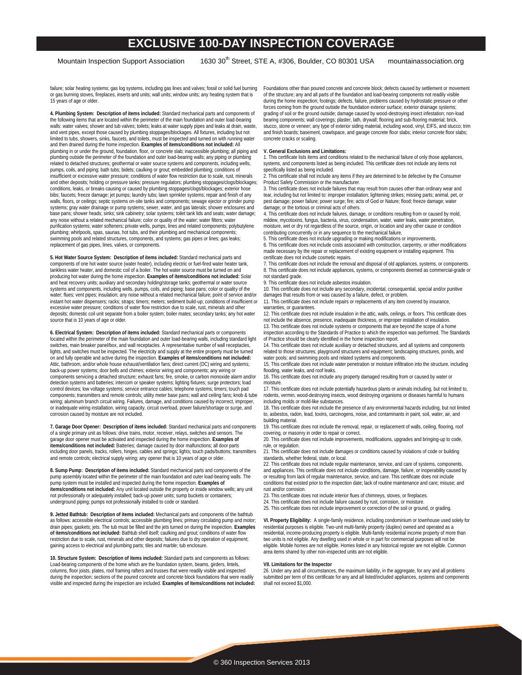Mountain Inspection Support Association 1630 30<sup>th</sup> Street, STE A, #306, Boulder, CO 80301 USA mountainassociation.org

failure; solar heating systems; gas log systems, including gas lines and valves; fossil or solid fuel burning or gas burning stoves, fireplaces, inserts and units; wall units; window units; any heating system that is 15 years of age or older.

**4. Plumbing System: Description of items included:** Standard mechanical parts and components of the following items that are located within the perimeter of the main foundation and outer load-bearing walls: water valves; shower and tub valves; toilets; leaks at water supply pipes and leaks at drain, waste, and vent pipes, except those caused by plumbing stoppages/blockages. All fixtures, including but not limited to tubs, showers, sinks, faucets, and toilets, must be inspected and turned on with running water and then drained during the home inspection. **Examples of items/conditions not included:** All plumbing in or under the ground, foundation, floor, or concrete slab; inaccessible plumbing; all piping and plumbing outside the perimeter of the foundation and outer load-bearing walls; any piping or plumbing related to detached structures; geothermal or water source systems and components, including wells, pumps, coils, and piping; bath tubs; bidets; caulking or grout; embedded plumbing; conditions of insufficient or excessive water pressure; conditions of water flow restriction due to scale, rust, minerals and other deposits; holding or pressure tanks; pressure regulators; plumbing stoppages/clogs/blockages; conditions, leaks, or breaks causing or caused by plumbing stoppages/clogs/blockages; exterior hose bibs; faucets; freeze damage; jet pumps; laundry tubs; lawn sprinkler systems; repair and finish of any walls, floors, or ceilings; septic systems on-site tanks and components; sewage ejector or grinder pump systems; gray water drainage or pump systems; sewer, water, and gas laterals; shower enclosures and base pans; shower heads; sinks; sink cabinetry; solar systems; toilet tank lids and seats; water damage; any noise without a related mechanical failure; color or quality of the water; water filters; water purification systems; water softeners; private wells, pumps, lines and related components; polybutylene plumbing; whirlpools, spas, saunas, hot tubs, and their plumbing and mechanical components; swimming pools and related structures, components, and systems; gas pipes or lines; gas leaks; replacement of gas pipes, lines, valves, or components.

**5. Hot Water Source System: Description of items included:** Standard mechanical parts and components of one hot water source (water heater), including electric or fuel-fired water heater tank, tankless water heater, and domestic coil of a boiler. The hot water source must be turned on and producing hot water during the home inspection. **Examples of items/conditions not included:** Solar and heat recovery units; auxiliary and secondary holding/storage tanks; geothermal or water source systems and components, including wells, pumps, coils, and piping; base pans; color or quality of the water; flues; vent pipes; insulation; any noise without a related mechanical failure; point of service and/or instant hot water dispensers; racks; straps; timers; meters; sediment build-up; conditions of insufficient or excessive water pressure; conditions of water flow restriction due to scale, rust, minerals and other deposits; domestic coil unit separate from a boiler system; boiler mates; secondary tanks; any hot water source that is 10 years of age or older.

**6. Electrical System: Description of items included:** Standard mechanical parts or components located within the perimeter of the main foundation and outer load-bearing walls, including standard light switches, main breaker panel/box, and wall receptacles. A representative number of wall receptacles, lights, and switches must be inspected. The electricity and supply at the entire property must be turned on and fully operable and active during the inspection. **Examples of items/conditions not included:** Attic, bathroom, and/or whole house exhaust/ventilation fans; direct current (DC) wiring and systems; back-up power systems; door bells and chimes; exterior wiring and components; any wiring or components servicing a detached structure; exhaust fans; fire, smoke, or carbon monoxide alarm and/or detection systems and batteries; intercom or speaker systems; lighting fixtures; surge protectors; load control devices; low voltage systems; service entrance cables; telephone systems; timers; touch pad components; transmitters and remote controls; utility meter base pans; wall and ceiling fans; knob & tube wiring; aluminum branch circuit wiring. Failures, damage, and conditions caused by incorrect, improper, or inadequate wiring installation, wiring capacity, circuit overload, power failure/shortage or surge, and corrosion caused by moisture are not included.

**7. Garage Door Opener: Description of items included:** Standard mechanical parts and components of a single primary unit as follows: drive trains, motor, receiver, relays, switches and sensors. The garage door opener must be activated and inspected during the home inspection. **Examples of items/conditions not included:** Batteries; damage caused by door malfunctions; all door parts including door panels, tracks, rollers, hinges, cables and springs; lights; touch pads/buttons; transmitters and remote controls; electrical supply wiring; any opener that is 10 years of age or older.

**8. Sump Pump: Description of items included:** Standard mechanical parts and components of the pump assembly located within the perimeter of the main foundation and outer load-bearing walls. The pump system must be installed and inspected during the home inspection. **Examples of items/conditions not included:** Any unit located outside the property or inside window wells; any unit not professionally or adequately installed; back-up power units; sump buckets or containers; underground piping; pumps not professionally installed to code or standard.

**9. Jetted Bathtub: Description of items included:** Mechanical parts and components of the bathtub as follows: accessible electrical controls; accessible plumbing lines; primary circulating pump and motor; drain pipes; gaskets; jets. The tub must be filled and the jets turned on during the inspection. **Examples of items/conditions not included:** Bathtub shell itself; caulking and grout; conditions of water flow restriction due to scale, rust, minerals and other deposits; failures due to dry operation of equipment; gaining access to electrical and plumbing parts; tiles and marble; tub enclosure.

**10. Structure System: Description of items included:** Standard parts and components as follows: Load-bearing components of the home which are the foundation system, beams, girders, lintels, columns, floor joists, plates, roof framing rafters and trusses that were readily visible and inspected during the inspection; sections of the poured concrete and concrete block foundations that were readily visible and inspected during the inspection are included. **Examples of items/conditions not included:** Foundations other than poured concrete and concrete block; defects caused by settlement or movement of the structure; any and all parts of the foundation and load-bearing components not readily visible during the home inspection; footings; defects, failure, problems caused by hydrostatic pressure or other forces coming from the ground outside the foundation exterior surface; exterior drainage systems; grading of soil or the ground outside; damage caused by wood-destroying insect infestation; non-load bearing components; wall coverings; plaster, lath, drywall; flooring and sub-flooring material; brick, stucco, stone or veneer; any type of exterior siding material, including wood, vinyl, EIFS, and stucco; trim and finish boards; basement, crawlspace, and garage concrete floor slabs; interior concrete floor slabs; concrete cracks or scaling.

### **V. General Exclusions and Limitations:**

1. This certificate lists items and conditions related to the mechanical failure of only those appliances, systems, and components listed as being included. This certificate does not include any items not specifically listed as being included.

2. This certificate shall not include any items if they are determined to be defective by the Consumer Product Safety Commission or the manufacturer.

3. This certificate does not include failures that may result from causes other than ordinary wear and tear, including but not limited to: improper installation; lightening strikes; missing parts; animal, pet, or pest damage; power failure; power surge; fire; acts of God or Nature; flood; freeze damage; water damage; or the tortious or criminal acts of others.

4. This certificate does not include failures, damage, or conditions resulting from or caused by mold, mildew, mycotoxins, fungus, bacteria, virus, condensation, water, water leaks, water penetration, moisture, wet or dry rot regardless of the source, origin, or location and any other cause or condition contributing concurrently or in any sequence to the mechanical failure.

5. This certificate does not include upgrading or making modifications or improvements. 6. This certificate does not include costs associated with construction, carpentry, or other modifications made necessary by the repair or replacement of existing equipment or installing equipment. This certificate does not include cosmetic repairs.

7. This certificate does not include the removal and disposal of old appliances, systems, or components. 8. This certificate does not include appliances, systems, or components deemed as commercial-grade or not standard grade.

9. This certificate does not include asbestos insulation.

10. This certificate does not include any secondary, incidental, consequential, special and/or punitive damages that results from or was caused by a failure, defect, or problem.

11. This certificate does not include repairs or replacements of any item covered by insurance, warranties, or guarantees.

12. This certificate does not include insulation in the attic, walls, ceilings, or floors. This certificate does not include the absence, presence, inadequate thickness, or improper installation of insulation.

13. This certificate does not include systems or components that are beyond the scope of a home inspection according to the Standards of Practice to which the inspection was performed. The Standards of Practice should be clearly identified in the home inspection report.

14. This certificate does not include auxiliary or detached structures, and all systems and components related to those structures; playground structures and equipment; landscaping structures, ponds, and water pools; and swimming pools and related systems and components.

15. This certificate does not include water penetration or moisture infiltration into the structure, including flooding, water leaks, and roof leaks.

16. This certificate does not include any property damaged resulting from or caused by water or moisture.

17. This certificate does not include potentially hazardous plants or animals including, but not limited to, rodents, vermin, wood-destroying insects, wood destroying organisms or diseases harmful to humans including molds or mold-like substances.

18. This certificate does not include the presence of any environmental hazards including, but not limited to, asbestos, radon, lead, toxins, carcinogens, noise, and contaminants in paint, soil, water, air, and building material.

19. This certificate does not include the removal, repair, or replacement of walls, ceiling, flooring, roof covering, or masonry in order to repair or correct.

20. This certificate does not include improvements, modifications, upgrades and bringing-up to code, rule, or regulation.

21. This certificate does not include damages or conditions caused by violations of code or building standards, whether federal, state, or local. 22. This certificate does not include regular maintenance, service, and care of systems, components,

and appliances. This certificate does not include conditions, damage, failure, or inoperability caused by or resulting from lack of regular maintenance, service, and care. This certificate does not include conditions that existed prior to the inspection date; lack of routine maintenance and care; misuse; and rust and/or corrosion.

23. This certificate does not include interior flues of chimneys, stoves, or fireplaces.

24. This certificate does not include failure caused by rust, corrosion, or moisture.

25. This certificate does not include improvement or correction of the soil or ground, or grading.

**VI. Property Eligibility:** A single-family residence, including condominium or townhouse used solely for residential purposes is eligible. Two-unit multi-family property (duplex) owned and operated as a residential, income-producing property is eligible. Multi-family residential income property of more than two units is not eligible. Any dwelling used in whole or in part for commercial purposes will not be eligible. Mobile homes are not eligible. Homes listed in any historical register are not eligible. Common area items shared by other non-inspected units are not eligible.

#### **VII. Limitations for the Inspector**

26. Under any and all circumstances, the maximum liability, in the aggregate, for any and all problems submitted per term of this certificate for any and all listed/included appliances, systems and components shall not exceed \$1,000.